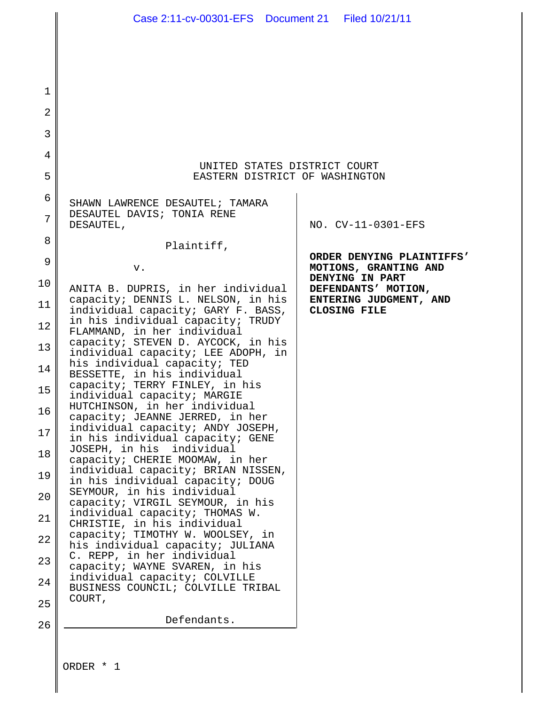1 2 3 4 5 6 7 8 9 10 11 12 13 14 15 16 17 18 19 20 21 22 23 24 25 26 UNITED STATES DISTRICT COURT EASTERN DISTRICT OF WASHINGTON SHAWN LAWRENCE DESAUTEL; TAMARA DESAUTEL DAVIS; TONIA RENE DESAUTEL, Plaintiff, v. ANITA B. DUPRIS, in her individual capacity; DENNIS L. NELSON, in his individual capacity; GARY F. BASS, in his individual capacity; TRUDY FLAMMAND, in her individual capacity; STEVEN D. AYCOCK, in his individual capacity; LEE ADOPH, in his individual capacity; TED BESSETTE, in his individual capacity; TERRY FINLEY, in his individual capacity; MARGIE HUTCHINSON, in her individual capacity; JEANNE JERRED, in her individual capacity; ANDY JOSEPH, in his individual capacity; GENE JOSEPH, in his individual capacity; CHERIE MOOMAW, in her individual capacity; BRIAN NISSEN, in his individual capacity; DOUG SEYMOUR, in his individual capacity; VIRGIL SEYMOUR, in his individual capacity; THOMAS W. CHRISTIE, in his individual capacity; TIMOTHY W. WOOLSEY, in his individual capacity; JULIANA C. REPP, in her individual capacity; WAYNE SVAREN, in his individual capacity; COLVILLE BUSINESS COUNCIL; COLVILLE TRIBAL COURT, Defendants. NO. CV-11-0301-EFS **ORDER DENYING PLAINTIFFS' MOTIONS, GRANTING AND DENYING IN PART DEFENDANTS' MOTION, ENTERING JUDGMENT, AND CLOSING FILE** Case 2:11-cv-00301-EFS Document 21 Filed 10/21/11

ORDER \* 1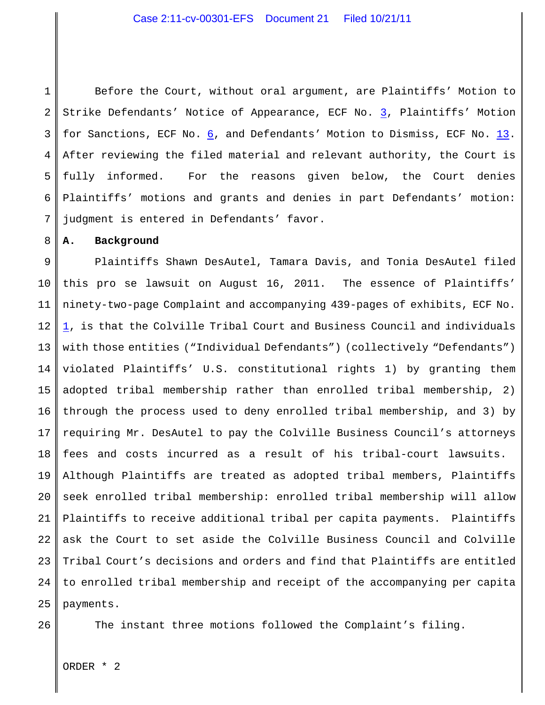### Case 2:11-cv-00301-EFS Document 21 Filed 10/21/11

1 2 3 4 5 6 7 Before the Court, without oral argument, are Plaintiffs' Motion to Strike Defendants' Notice of Appearance, ECF No. [3](https://ecf.waed.circ9.dcn/cgi-bin/show_doc.pl?caseid=54670&de_seq_num=61&dm_id=1626327&doc_num=3&pdf_header=1), Plaintiffs' Motion for Sanctions, ECF No. [6](https://ecf.waed.circ9.dcn/cgi-bin/show_doc.pl?caseid=54670&de_seq_num=69&dm_id=1631861&doc_num=6&pdf_header=1), and Defendants' Motion to Dismiss, ECF No. [13](https://ecf.waed.circ9.dcn/cgi-bin/show_doc.pl?caseid=54670&de_seq_num=87&dm_id=1642046&doc_num=13&pdf_header=1). After reviewing the filed material and relevant authority, the Court is fully informed. For the reasons given below, the Court denies Plaintiffs' motions and grants and denies in part Defendants' motion: judgment is entered in Defendants' favor.

**A. Background**

8

9 10 11 12 13 14 15 16 17 18 19 20 21 22 23 24 25 Plaintiffs Shawn DesAutel, Tamara Davis, and Tonia DesAutel filed this pro se lawsuit on August 16, 2011. The essence of Plaintiffs' ninety-two-page Complaint and accompanying 439-pages of exhibits, ECF No. [1](https://ecf.waed.uscourts.gov/doc1/19501720055), is that the Colville Tribal Court and Business Council and individuals with those entities ("Individual Defendants") (collectively "Defendants") violated Plaintiffs' U.S. constitutional rights 1) by granting them adopted tribal membership rather than enrolled tribal membership, 2) through the process used to deny enrolled tribal membership, and 3) by requiring Mr. DesAutel to pay the Colville Business Council's attorneys fees and costs incurred as a result of his tribal-court lawsuits. Although Plaintiffs are treated as adopted tribal members, Plaintiffs seek enrolled tribal membership: enrolled tribal membership will allow Plaintiffs to receive additional tribal per capita payments. Plaintiffs ask the Court to set aside the Colville Business Council and Colville Tribal Court's decisions and orders and find that Plaintiffs are entitled to enrolled tribal membership and receipt of the accompanying per capita payments.

```
26
```
The instant three motions followed the Complaint's filing.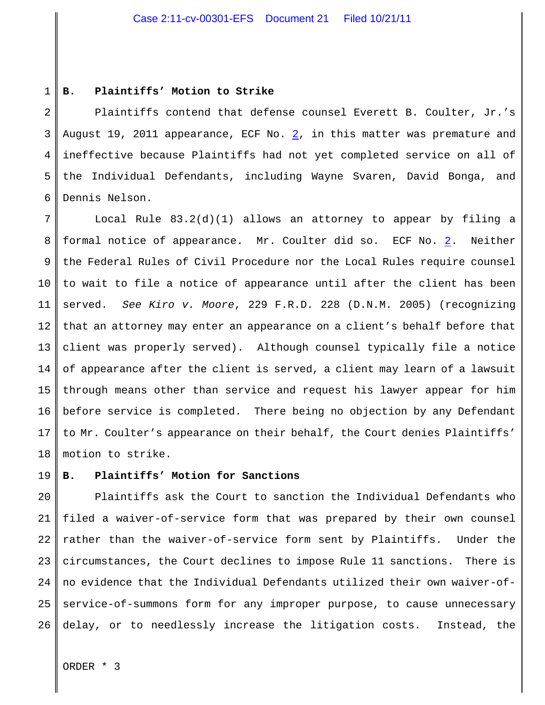#### 1 **B. Plaintiffs' Motion to Strike**

2 3 4 5 6 Plaintiffs contend that defense counsel Everett B. Coulter, Jr.'s August 19, 2011 appearance, ECF No. [2](https://ecf.waed.uscourts.gov/doc1/19511722364), in this matter was premature and ineffective because Plaintiffs had not yet completed service on all of the Individual Defendants, including Wayne Svaren, David Bonga, and Dennis Nelson.

7 8 9 10 11 12 13 14 15 16 17 18 Local Rule 83.2(d)(1) allows an attorney to appear by filing a formal notice of appearance. Mr. Coulter did so. ECF No. [2](https://ecf.waed.uscourts.gov/doc1/19511722364). Neither the Federal Rules of Civil Procedure nor the Local Rules require counsel to wait to file a notice of appearance until after the client has been served. *See Kiro v. Moore*, 229 F.R.D. 228 (D.N.M. 2005) (recognizing that an attorney may enter an appearance on a client's behalf before that client was properly served). Although counsel typically file a notice of appearance after the client is served, a client may learn of a lawsuit through means other than service and request his lawyer appear for him before service is completed. There being no objection by any Defendant to Mr. Coulter's appearance on their behalf, the Court denies Plaintiffs' motion to strike.

### 19 **B. Plaintiffs' Motion for Sanctions**

20 21 22 23 24 25 26 Plaintiffs ask the Court to sanction the Individual Defendants who filed a waiver-of-service form that was prepared by their own counsel rather than the waiver-of-service form sent by Plaintiffs. Under the circumstances, the Court declines to impose Rule 11 sanctions. There is no evidence that the Individual Defendants utilized their own waiver-ofservice-of-summons form for any improper purpose, to cause unnecessary delay, or to needlessly increase the litigation costs. Instead, the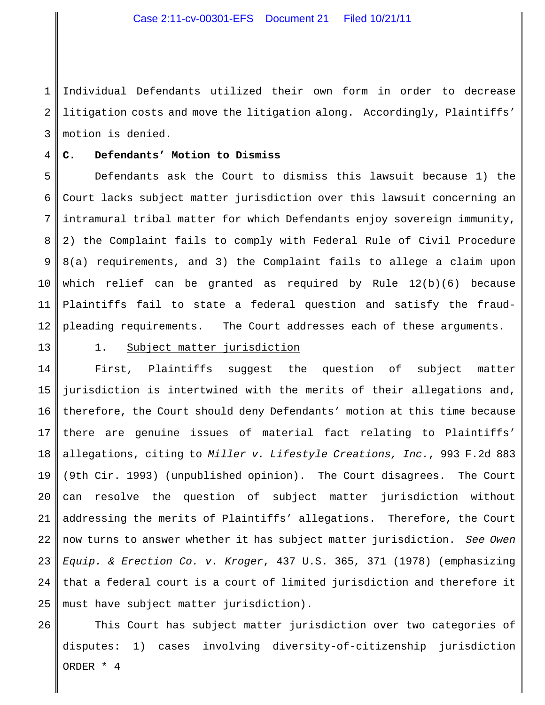1 2 3 Individual Defendants utilized their own form in order to decrease litigation costs and move the litigation along. Accordingly, Plaintiffs' motion is denied.

#### 4 **C. Defendants' Motion to Dismiss**

5 6 7 8 9 10 11 12 Defendants ask the Court to dismiss this lawsuit because 1) the Court lacks subject matter jurisdiction over this lawsuit concerning an intramural tribal matter for which Defendants enjoy sovereign immunity, 2) the Complaint fails to comply with Federal Rule of Civil Procedure 8(a) requirements, and 3) the Complaint fails to allege a claim upon which relief can be granted as required by Rule 12(b)(6) because Plaintiffs fail to state a federal question and satisfy the fraudpleading requirements. The Court addresses each of these arguments.

13

26

## 1. Subject matter jurisdiction

14 15 16 17 18 19 20 21 22 23 24 25 First, Plaintiffs suggest the question of subject matter jurisdiction is intertwined with the merits of their allegations and, therefore, the Court should deny Defendants' motion at this time because there are genuine issues of material fact relating to Plaintiffs' allegations, citing to *Miller v. Lifestyle Creations, Inc.*, 993 F.2d 883 (9th Cir. 1993) (unpublished opinion). The Court disagrees. The Court can resolve the question of subject matter jurisdiction without addressing the merits of Plaintiffs' allegations. Therefore, the Court now turns to answer whether it has subject matter jurisdiction. *See Owen Equip. & Erection Co. v. Kroger*, 437 U.S. 365, 371 (1978) (emphasizing that a federal court is a court of limited jurisdiction and therefore it must have subject matter jurisdiction).

This Court has subject matter jurisdiction over two categories of disputes: 1) cases involving diversity-of-citizenship jurisdiction ORDER \* 4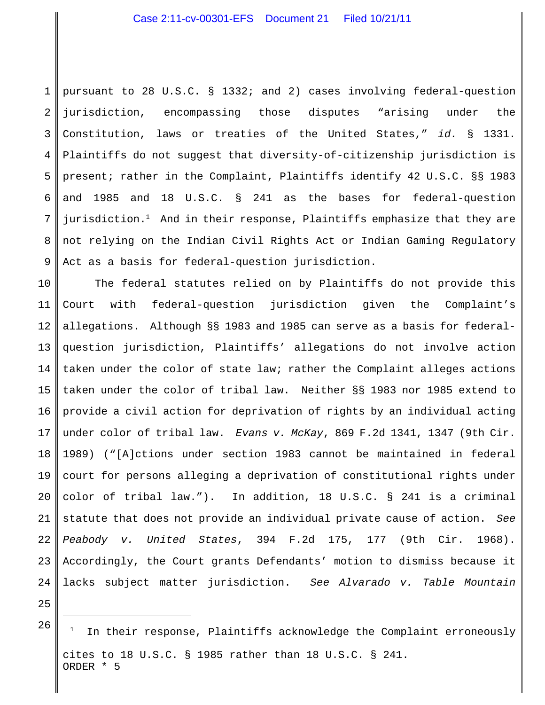1 2 3 4 5 6 7 8 9 pursuant to 28 U.S.C. § 1332; and 2) cases involving federal-question jurisdiction, encompassing those disputes "arising under the Constitution, laws or treaties of the United States," *id.* § 1331. Plaintiffs do not suggest that diversity-of-citizenship jurisdiction is present; rather in the Complaint, Plaintiffs identify 42 U.S.C. §§ 1983 and 1985 and 18 U.S.C. § 241 as the bases for federal-question jurisdiction.<sup>1</sup> And in their response, Plaintiffs emphasize that they are not relying on the Indian Civil Rights Act or Indian Gaming Regulatory Act as a basis for federal-question jurisdiction.

10 11 12 13 14 15 16 17 18 19 20 21 22 23 24 The federal statutes relied on by Plaintiffs do not provide this Court with federal-question jurisdiction given the Complaint's allegations. Although §§ 1983 and 1985 can serve as a basis for federalquestion jurisdiction, Plaintiffs' allegations do not involve action taken under the color of state law; rather the Complaint alleges actions taken under the color of tribal law. Neither §§ 1983 nor 1985 extend to provide a civil action for deprivation of rights by an individual acting under color of tribal law. *Evans v. McKay*, 869 F.2d 1341, 1347 (9th Cir. 1989) ("[A]ctions under section 1983 cannot be maintained in federal court for persons alleging a deprivation of constitutional rights under color of tribal law."). In addition, 18 U.S.C. § 241 is a criminal statute that does not provide an individual private cause of action. *See Peabody v. United States*, 394 F.2d 175, 177 (9th Cir. 1968). Accordingly, the Court grants Defendants' motion to dismiss because it lacks subject matter jurisdiction. *See Alvarado v. Table Mountain*

25

<sup>26</sup> In their response, Plaintiffs acknowledge the Complaint erroneously cites to 18 U.S.C. § 1985 rather than 18 U.S.C. § 241. ORDER \* 5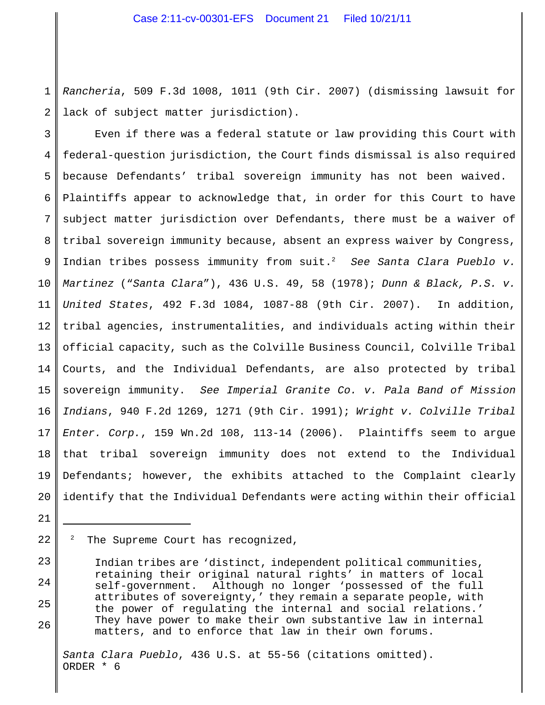1 2 *Rancheria*, 509 F.3d 1008, 1011 (9th Cir. 2007) (dismissing lawsuit for lack of subject matter jurisdiction).

3 4 5 6 7 8 9 10 11 12 13 14 15 16 17 18 19 20 Even if there was a federal statute or law providing this Court with federal-question jurisdiction, the Court finds dismissal is also required because Defendants' tribal sovereign immunity has not been waived. Plaintiffs appear to acknowledge that, in order for this Court to have subject matter jurisdiction over Defendants, there must be a waiver of tribal sovereign immunity because, absent an express waiver by Congress, Indian tribes possess immunity from suit. *See Santa Clara Pueblo v.* <sup>2</sup> *Martinez* ("*Santa Clara*"), 436 U.S. 49, 58 (1978); *Dunn & Black, P.S. v. United States*, 492 F.3d 1084, 1087-88 (9th Cir. 2007). In addition, tribal agencies, instrumentalities, and individuals acting within their official capacity, such as the Colville Business Council, Colville Tribal Courts, and the Individual Defendants, are also protected by tribal sovereign immunity. *See Imperial Granite Co. v. Pala Band of Mission Indians*, 940 F.2d 1269, 1271 (9th Cir. 1991); *Wright v. Colville Tribal Enter. Corp.*, 159 Wn.2d 108, 113-14 (2006). Plaintiffs seem to argue that tribal sovereign immunity does not extend to the Individual Defendants; however, the exhibits attached to the Complaint clearly identify that the Individual Defendants were acting within their official

22  $2$  The Supreme Court has recognized,

21

23

24

25

26

Indian tribes are 'distinct, independent political communities, retaining their original natural rights' in matters of local self-government. Although no longer 'possessed of the full attributes of sovereignty,' they remain a separate people, with the power of regulating the internal and social relations.' They have power to make their own substantive law in internal matters, and to enforce that law in their own forums.

*Santa Clara Pueblo*, 436 U.S. at 55-56 (citations omitted). ORDER \* 6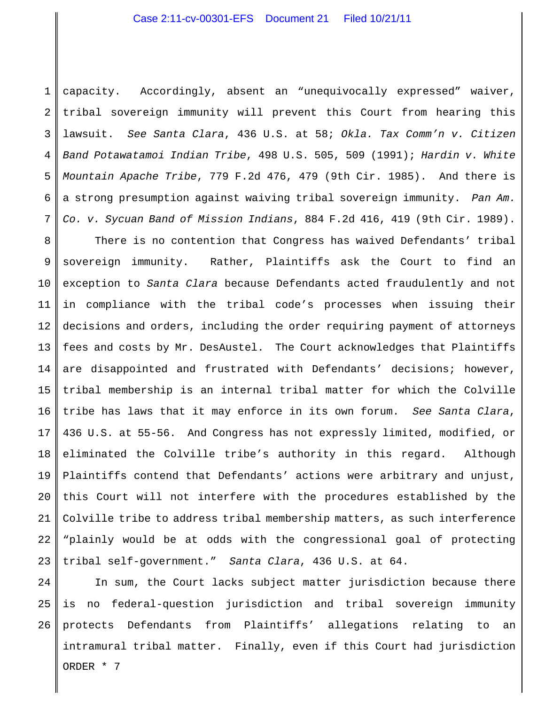1 2 3 4 5 6 7 capacity. Accordingly, absent an "unequivocally expressed" waiver, tribal sovereign immunity will prevent this Court from hearing this lawsuit. *See Santa Clara*, 436 U.S. at 58; *Okla. Tax Comm'n v. Citizen Band Potawatamoi Indian Tribe*, 498 U.S. 505, 509 (1991); *Hardin v. White Mountain Apache Tribe*, 779 F.2d 476, 479 (9th Cir. 1985). And there is a strong presumption against waiving tribal sovereign immunity. *Pan Am. Co. v. Sycuan Band of Mission Indians*, 884 F.2d 416, 419 (9th Cir. 1989).

8 9 10 11 12 13 14 15 16 17 18 19 20 21 22 23 There is no contention that Congress has waived Defendants' tribal sovereign immunity. Rather, Plaintiffs ask the Court to find an exception to *Santa Clara* because Defendants acted fraudulently and not in compliance with the tribal code's processes when issuing their decisions and orders, including the order requiring payment of attorneys fees and costs by Mr. DesAustel. The Court acknowledges that Plaintiffs are disappointed and frustrated with Defendants' decisions; however, tribal membership is an internal tribal matter for which the Colville tribe has laws that it may enforce in its own forum. *See Santa Clara*, 436 U.S. at 55-56. And Congress has not expressly limited, modified, or eliminated the Colville tribe's authority in this regard. Although Plaintiffs contend that Defendants' actions were arbitrary and unjust, this Court will not interfere with the procedures established by the Colville tribe to address tribal membership matters, as such interference "plainly would be at odds with the congressional goal of protecting tribal self-government." *Santa Clara*, 436 U.S. at 64.

24 25 26 In sum, the Court lacks subject matter jurisdiction because there is no federal-question jurisdiction and tribal sovereign immunity protects Defendants from Plaintiffs' allegations relating to an intramural tribal matter. Finally, even if this Court had jurisdiction ORDER \* 7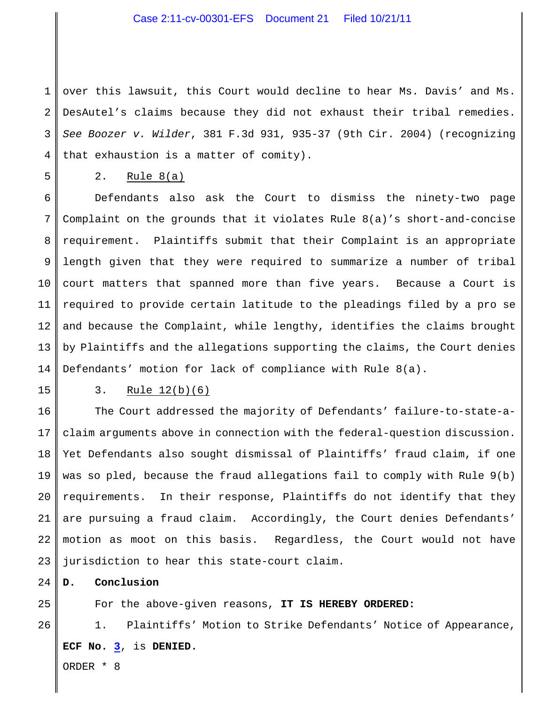1 2 3 4 over this lawsuit, this Court would decline to hear Ms. Davis' and Ms. DesAutel's claims because they did not exhaust their tribal remedies. *See Boozer v. Wilder*, 381 F.3d 931, 935-37 (9th Cir. 2004) (recognizing that exhaustion is a matter of comity).

5

# 2. Rule 8(a)

6 7 8 9 10 11 12 13 14 Defendants also ask the Court to dismiss the ninety-two page Complaint on the grounds that it violates Rule 8(a)'s short-and-concise requirement. Plaintiffs submit that their Complaint is an appropriate length given that they were required to summarize a number of tribal court matters that spanned more than five years. Because a Court is required to provide certain latitude to the pleadings filed by a pro se and because the Complaint, while lengthy, identifies the claims brought by Plaintiffs and the allegations supporting the claims, the Court denies Defendants' motion for lack of compliance with Rule 8(a).

15

25

26

### 3. Rule 12(b)(6)

16 17 18 19 20 21 22 23 The Court addressed the majority of Defendants' failure-to-state-aclaim arguments above in connection with the federal-question discussion. Yet Defendants also sought dismissal of Plaintiffs' fraud claim, if one was so pled, because the fraud allegations fail to comply with Rule 9(b) requirements. In their response, Plaintiffs do not identify that they are pursuing a fraud claim. Accordingly, the Court denies Defendants' motion as moot on this basis. Regardless, the Court would not have jurisdiction to hear this state-court claim.

24 **D. Conclusion**

For the above-given reasons, **IT IS HEREBY ORDERED:**

1. Plaintiffs' Motion to Strike Defendants' Notice of Appearance, **ECF No. [3](https://ecf.waed.circ9.dcn/cgi-bin/show_doc.pl?caseid=54670&de_seq_num=61&dm_id=1626327&doc_num=3&pdf_header=1)**, is **DENIED.**

ORDER \* 8